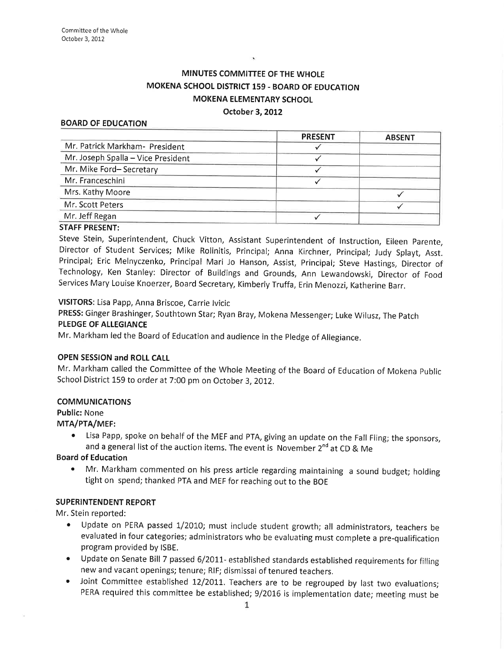# MINUTES COMMITTEE OF THE WHOLE MOKENA SCHOOL DISTRICT 159 - BOARD OF EDUCATION MOKENA ELEMENTARY SCHOOL

#### October 3, 2012

#### BOARD OF EDUCATION

|                                    | <b>PRESENT</b> | <b>ABSENT</b> |
|------------------------------------|----------------|---------------|
| Mr. Patrick Markham- President     |                |               |
| Mr. Joseph Spalla - Vice President |                |               |
| Mr. Mike Ford-Secretary            |                |               |
| Mr. Franceschini                   |                |               |
| Mrs. Kathy Moore                   |                |               |
| Mr. Scott Peters                   |                |               |
| Mr. Jeff Regan                     |                |               |
|                                    |                |               |

#### STAFF PRESENT:

Steve Stein, Superintendent, Chuck Vitton, Assistant Superintendent of lnstruction, Eileen parente, Director of Student Services; Mike Rolinitis, Principal; Anna Kirchner, principal; Judy Splayt, Asst. Principal; Eric Melnyczenko, Principal Mari Jo Hanson, Assist, Principal; Steve Hastings, Director of Technology, Ken Stanley: Director of Buildings and Grounds, Ann Lewandowski, Director of Food Services Mary Louise Knoerzer, Board Secretary, Kimberly Truffa, Erin Menozzi, Katherine Barr.

VISITORS: Lisa Papp, Anna Briscoe, Carrie lvicic

PRESS: Gínger Brashinger, Southtown Star; Ryan Bray, Mokena Messenger; Luke Wilusz, The patch

#### PLEDGE OF ALLEGIANCE

Mr. Markham led the Board of Education and audience in the Pledge of Allegiance.

#### OPEN SESSION and ROLL CALL

Mr. Markham called the Committee of the Whole Meeting of the Board of Education of Mokena public School District 159 to order at 7:00 pm on October 3,2012.

### COMMUNICATIONS

Public: None

MTA/PTA/MEF:

Lisa Papp, spoke on behalf of the MEF and PTA, giving an update on the Fall Fling; the sponsors, and a general list of the auction items. The event is November  $2^{nd}$  at CD & Me

### Board of Education

o Mr. Markham commented on his press article regarding maintaining a sound budget; holding tight on spend; thanked PTA and MEF for reaching out to the BOE

### SUPERINTENDENT REPORT

Mr. Stein reported:

- Update on PERA passed 1/2010; must include student growth; all administrators, teachers be evaluated in four categories; administrators who be evaluating must complete a pre-qualification program provided by |SBE.
- Update on Senate Bill 7 passed 6/2011- established standards established requirements for filling new and vacant openings; tenure; RIF; dismissal of tenured teachers.
- Joint Committee established 12/2011. Teachers are to be regrouped by last two evaluations; PERA required this committee be established; 9/2016 is implementation date; meeting must be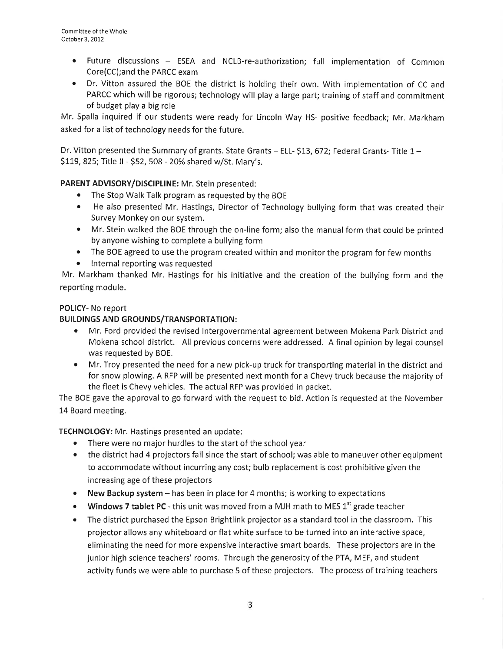- . Future discussions ESEA and NCLB-re-authorization; full implementation of Common Core(CC);and the PARCC exam
- Dr. Vitton assured the BOE the district is holding their own. With implementation of CC and PARCC which will be rigorous; technology will play a large part; training of staff and commitment of budget play a big role

Mr. Spalla ínquired if our students were ready for Lincoln Way HS- positive feedback; Mr. Markham asked for a list of technology needs for the future.

Dr. Vitton presented the Summary of grants. State Grants  $-$  ELL- \$13, 672; Federal Grants- Title 1  $-$ \$119, 825; Title II - \$52, 508 - 20% shared w/St. Mary's.

# PARENT ADVISORY/DISCIPUNE: Mr. Stein presented:

- The Stop Walk Talk program as requested by the BOE
- o He also presented Mr. Hastings, Director of Technology bullying form that was created their Survey Monkey on our system.
- Mr. Stein walked the BOE through the on-line form; also the manual form that could be printed by anyone wishing to complete a bullying form
- The BOE agreed to use the program created within and monitor the program for few months
- Internal reporting was requested

Mr. Markham thanked Mr. Hastings for his initiative and the creation of the bullying form and the reporting module.

# POLICY- No report

# BUILDINGS AND GROUNDS/TRANSPORTATION:

- o Mr. Ford provided the revised lntergovernmental agreement between Mokena Park District and Mokena school district. All previous concerns were addressed. A final opinion by legal counsel was requested by BOE.
- o Mr. Troy presented the need for a new pick-up truck for transporting material in the district and for snow plowing. A RFP will be presented next month for a Chevy truck because the majority of the fleet is Chevy vehicles. The actual RFP was provided in packet.

The BOE gave the approval to go forward with the request to bid. Action is requested at the November 14 Board meeting.

TECHNOLOGY: Mr. Hastings presented an update:

- There were no major hurdles to the start of the school year
- the district had 4 projectors fail since the start of school; was able to maneuver other equipment to accommodate without incurring any cost; bulb replacement is cost prohibitive given the increasing age of these projectors
- New Backup system has been in place for 4 months; is working to expectations
- Windows 7 tablet PC this unit was moved from a MJH math to MES  $1<sup>st</sup>$  grade teacher
- The district purchased the Epson Brightlink projector as a standard tool in the classroom. This projector allows any whiteboard or flat white surface to be turned into an interactive space, eliminating the need for more expensive interactive smart boards. These projectors are in the junior high science teachers' rooms. Through the generosity of the PTA, MEF, and student activity funds we were able to purchase 5 of these projectors. The process of training teachers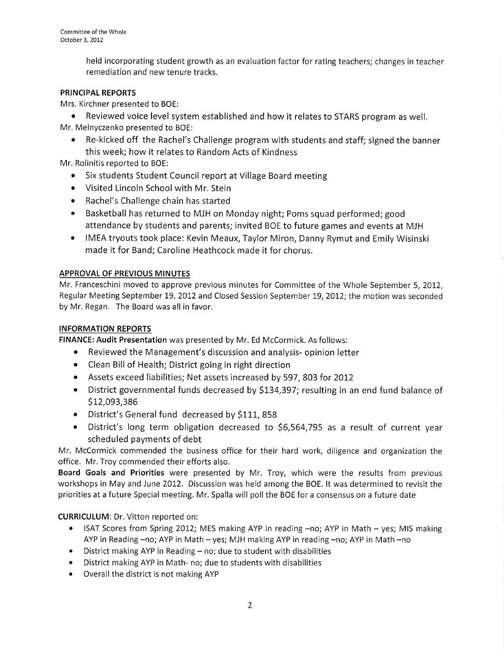held incorporating student growth as an evaluation factor for rating teachers; changes in teacher remediation and new tenure tracks.

# PRINCIPAL REPORTS

Mrs. Kirchner presented to BOE:

• Reviewed voice level system established and how it relates to STARS program as well. Mr. Melnyczenko presented to BOE:

o Re-kicked off the Rachel's Challenge program with students and staff; signed the banner this week; how it relates to Random Acts of Kindness

Mr. Rolinitis reported to BOE:

- Six students Student Council report at Village Board meeting
- o Visited Lincoln School with Mr. Stein
- o Rachel's Challenge chain has started
- Basketball has returned to MJH on Monday night; Poms squad performed; good attendance by students and parents; invited BOE to future games and events at MJH
- IMEA tryouts took place: Kevin Meaux, Taylor Miron, Danny Rymut and Emily Wisinski made it for Band; Caroline Heathcock made it for chorus.

# APPROVAL OF PREVIOUS MINUTES

Mr. Franceschini moved to approve previous minutes for Committee of the Whole September 5, 2012, Regular Meeting September 19, 2012 and Closed Session September 19, 2012; the motion was seconded by Mr. Regan. The Board was all in favor.

# INFORMATION REPORTS

FINANCE: Audit Presentation was presented by Mr. Ed McCormick. As follows:

- Reviewed the Management's discussion and analysis- opinion letter
- . Clean Bill of Health; District going in right direction
- o Assets exceed liabilities; Net assets increased by 597,803 for 20L2
- District governmental funds decreased by \$134,397; resulting in an end fund balance of \$12,093,386
- $\bullet$  District's General fund decreased by \$111, 858
- District's long term obligation decreased to \$6,564,795 as a result of current year scheduled payments of debt

Mr. McCormick commended the business office for their hard work, diligence and organization the office. Mr. Troy commended their efforts also.

Board Goals and Priorities were presented by Mr. Troy, which were the results from previous workshops in May and June 2012. Discussion was held among the BOE. lt was determined to revisit the priorities at a future Special meeting. Mr. Spalla will poll the BOE for a consensus on a future date

CURRICULUM: Dr. Vitton reported on:

- ISAT Scores from Spring 2012; MES making AYP in reading  $-no$ ; AYP in Math  $-$  yes; MIS making AYP in Reading -no; AYP in Math - yes; MJH making AYP in reading -no; AYP in Math -no
- District making AYP in Reading no; due to student with disabilities
- o District making AYP in Math- no; due to students with disabilities
- Overall the district is not making AYP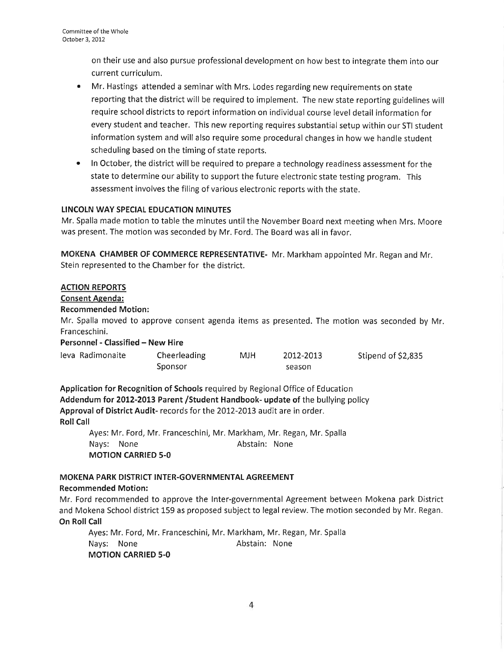on their use and also pursue professional development on how best to integrate them into our current curriculum.

- ¡ Mr. Hastings attended a seminar with Mrs. Lodes regarding new requirements on state reporting that the district will be required to implement. The new state reporting guidelines will require school districts to report information on individual course level detail information for every student and teacher. This new reporting requires substantial setup within our STI student information system and will also require some procedural changes in how we handle student scheduling based on the timing of state reports,
- In October, the district will be required to prepare a technology readiness assessment for the state to determine our ability to support the future electronic state testing program. This assessment involves the filing of various electronic reports with the state.

## LINCOLN WAY SPECIAL EDUCATION MINUTES

Mr. Spalla made motion to table the minutes until the November Board next meeting when Mrs. Moore was present. The motion was seconded by Mr. Ford. The Board was all in favor,

MOKENA CHAMBER OF COMMERCE REPRESENTATIVE- Mr. Markham appointed Mr. Regan and Mr. Stein represented to the Chamber for the district.

# ACTION REPORTS

## Consent Agenda:

### Recommended Motion:

Mr. Spalla moved to approve consent agenda items as presented. The motion was seconded by Mr. Franceschini.

### Personnel - Classified - New Hire

| leva Radimonaite | Cheerleading | MJH | 2012-2013 | Stipend of \$2,835 |
|------------------|--------------|-----|-----------|--------------------|
|                  | Sponsor      |     | season    |                    |

Application for Recognition of Schools required by Regional Office of Education Addendum for 2012-2013 Parent /Student Handbook- update of the bullying policy Approval of District Audit- records for the 2012-2013 audit are in order. **Roll Call** 

Ayes: Mr. Ford, Mr. Franceschini, Mr. Markham, Mr. Regan, Mr. Spalla Nays: None **Abstain:** None MOTION CARRIED 5.0

### MOKENA PARK DISTRICT INTER-GOVERNMENTAL AGREEMENT Recommended Motion:

Mr. Ford recommended to approve the Inter-governmental Agreement between Mokena park District and Mokena School district 159 as proposed subject to legal review. The motion seconded by Mr. Regan. On Roll Call

Ayes: Mr. Ford, Mr. Franceschini, Mr. Markham, Mr. Regan, Mr. Spalla Nays: None **Abstain:** None MOTION CARRIED 5-O